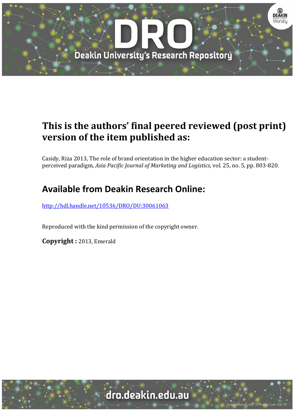

# **This is the authors' final peered reviewed (post print) version of the item published as:**

Casidy, Riza 2013, The role of brand orientation in the higher education sector: a studentperceived paradigm*, Asia Pacific Journal of Marketing and Logistics*, vol. 25, no. 5, pp. 803‐820. 

# **Available from Deakin Research Online:**

http://hdl.handle.net/10536/DRO/DU:30061063

Reproduced with the kind permission of the copyright owner.

**Copyright :** 2013, Emerald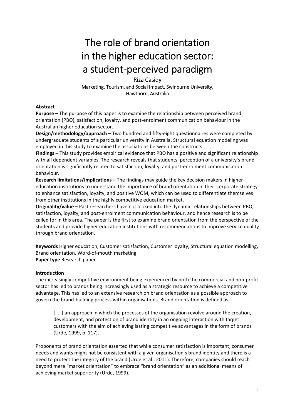# The role of brand orientation in the higher education sector: a student‐perceived paradigm

Riza Casidy Marketing, Tourism, and Social Impact, Swinburne University, Hawthorn, Australia

# **Abstract**

**Purpose –** The purpose of this paper is to examine the relationship between perceived brand orientation (PBO), satisfaction, loyalty, and post‐enrolment communication behaviour in the Australian higher education sector.

**Design/methodology/approach –** Two hundred and fifty‐eight questionnaires were completed by undergraduate students of a particular university in Australia. Structural equation modeling was employed in this study to examine the associations between the constructs.

**Findings –** This study provides empirical evidence that PBO has a positive and significant relationship with all dependent variables. The research reveals that students' perception of a university's brand orientation is significantly related to satisfaction, loyalty, and post‐enrolment communication behaviour.

**Research limitations/implications –** The findings may guide the key decision makers in higher education institutions to understand the importance of brand orientation in their corporate strategy to enhance satisfaction, loyalty, and positive WOM, which can be used to differentiate themselves from other institutions in the highly competitive education market.

**Originality/value –** Past researchers have not looked into the dynamic relationships between PBO, satisfaction, loyalty, and post-enrolment communication behaviour, and hence research is to be called for in this area. The paper is the first to examine brand orientation from the perspective of the students and provide higher education institutions with recommendations to improve service quality through brand orientation.

**Keywords** Higher education, Customer satisfaction, Customer loyalty, Structural equation modelling, Brand orientation, Word‐of‐mouth marketing **Paper type** Research paper

## **Introduction**

The increasingly competitive environment being experienced by both the commercial and non-profit sector has led to brands being increasingly used as a strategic resource to achieve a competitive advantage. This has led to an extensive research on brand orientation as a possible approach to govern the brand‐building process within organisations. Brand orientation is defined as:

[...] an approach in which the processes of the organisation revolve around the creation, development, and protection of brand identity in an ongoing interaction with target customers with the aim of achieving lasting competitive advantages in the form of brands (Urde, 1999, p. 117).

Proponents of brand orientation asserted that while consumer satisfaction is important, consumer needs and wants might not be consistent with a given organisation's brand identity and there is a need to protect the integrity of the brand (Urde et al., 2011). Therefore, companies should reach beyond mere "market orientation" to embrace "brand orientation" as an additional means of achieving market superiority (Urde, 1999).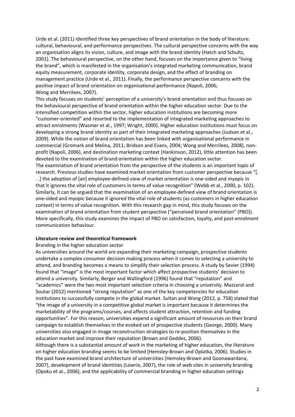Urde et al. (2011) identified three key perspectives of brand orientation in the body of literature: cultural, behavioural, and performance perspectives. The cultural perspective concerns with the way an organisation aligns its vision, culture, and image with the brand identity (Hatch and Schultz, 2001). The behavioural perspective, on the other hand, focuses on the importance given to "living the brand", which is manifested in the organisation's integrated marketing communication, brand equity measurement, corporate identity, corporate design, and the effect of branding on management practice (Urde et al., 2011). Finally, the performance perspective concerns with the positive impact of brand orientation on organisational performance (Napoli, 2006; Wong and Merrilees, 2007).

This study focuses on students' perception of a university's brand orientation and thus focuses on the behavioural perspective of brand orientation within the higher education sector. Due to the intensified competition within the sector, higher education institutions are becoming more "customer‐oriented" and resorted to the implementation of integrated marketing approaches to attract enrolments (Wasmer et al., 1997; Wright, 2000). Higher education institutions must focus on developing a strong brand identity as part of their integrated marketing approaches (Judson et al., 2009). While the notion of brand orientation has been linked with organisational performance in commercial (Gromark and Melina, 2011; Bridson and Evans, 2004; Wong and Merrilees, 2008), non‐ profit (Napoli, 2006), and destination marketing context (Hankinson, 2012), little attention has been devoted to the examination of brand orientation within the higher education sector. The examination of brand orientation from the perspective of the students is an important topic of research. Previous studies have examined market orientation from customer perspective because "[. . .] the adoption of [an] employee‐defined view of market orientation is one‐sided and myopic in that it ignores the vital role of customers in terms of value recognition" (Webb et al., 2000, p. 102). Similarly, it can be argued that the examination of an employee‐defined view of brand orientation is one‐sided and myopic because it ignored the vital role of students (as customers in higher education context) in terms of value recognition. With this research gap in mind, this study focuses on the examination of brand orientation from student perspective ("perceived brand orientation" (PBO)). More specifically, this study examines the impact of PBO on satisfaction, loyalty, and post-enrolment

#### **Literature review and theoretical framework**

#### Branding in the higher education sector

communication behaviour.

As universities around the world are expanding their marketing campaign, prospective students undertake a complex consumer decision making process when it comes to selecting a university to attend, and branding becomes a means to simplify their selection process. A study by Sevier (1994) found that "image" is the most important factor which affect prospective students' decision to attend a university. Similarly, Berger and Wallingford (1996) found that "reputation" and "academics" were the two most important selection criteria in choosing a university. Mazzarol and Soutar (2012) mentioned "strong reputation" as one of the key competencies for education institutions to successfully compete in the global market. Sultan and Wong (2012, p. 758) stated that "the image of a university in a competitive global market is important because it determines the marketability of the programs/courses, and affects student attraction, retention and funding opportunities". For this reason, universities expend a significant amount of resources on their brand campaign to establish themselves in the evoked set of prospective students (George, 2000). Many universities also engaged in image reconstruction strategies to re‐position themselves in the education market and improve their reputation (Brown and Geddes, 2006).

Although there is a substantial amount of work in the marketing of higher education, the literature on higher education branding seems to be limited (Hemsley‐Brown and Oplatka, 2006). Studies in the past have examined brand architecture of universities (Hemsley‐Brown and Goonawardana, 2007), development of brand identities (Lowrie, 2007), the role of web sites in university branding (Opoku et al., 2006), and the applicability of commercial branding in higher education settings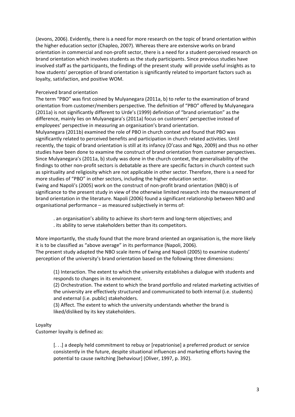(Jevons, 2006). Evidently, there is a need for more research on the topic of brand orientation within the higher education sector (Chapleo, 2007). Whereas there are extensive works on brand orientation in commercial and non‐profit sector, there is a need for a student‐perceived research on brand orientation which involves students as the study participants. Since previous studies have involved staff as the participants, the findings of the present study will provide useful insights as to how students' perception of brand orientation is significantly related to important factors such as loyalty, satisfaction, and positive WOM.

# Perceived brand orientation

The term "PBO" was first coined by Mulyanegara (2011a, b) to refer to the examination of brand orientation from customer/members perspective. The definition of "PBO" offered by Mulyanegara (2011a) is not significantly different to Urde's (1999) definition of "brand orientation" as the difference, mainly lies on Mulyanegara's (2011a) focus on customers' perspective instead of employees' perspective in measuring an organisation's brand orientation.

Mulyanegara (2011b) examined the role of PBO in church context and found that PBO was significantly related to perceived benefits and participation in church related activities. Until recently, the topic of brand orientation is still at its infancy (O'cass and Ngo, 2009) and thus no other studies have been done to examine the construct of brand orientation from customer perspectives. Since Mulyanegara's (2011a, b) study was done in the church context, the generalisability of the findings to other non-profit sectors is debatable as there are specific factors in church context such as spirituality and religiosity which are not applicable in other sector. Therefore, there is a need for more studies of "PBO" in other sectors, including the higher education sector.

Ewing and Napoli's (2005) work on the construct of non‐profit brand orientation (NBO) is of significance to the present study in view of the otherwise limited research into the measurement of brand orientation in the literature. Napoli (2006) found a significant relationship between NBO and organisational performance – as measured subjectively in terms of:

. an organisation's ability to achieve its short‐term and long‐term objectives; and . its ability to serve stakeholders better than its competitors.

More importantly, the study found that the more brand oriented an organisation is, the more likely it is to be classified as "above average" in its performance (Napoli, 2006). The present study adapted the NBO scale items of Ewing and Napoli (2005) to examine students' perception of the university's brand orientation based on the following three dimensions:

(1) Interaction. The extent to which the university establishes a dialogue with students and responds to changes in its environment.

(2) Orchestration. The extent to which the brand portfolio and related marketing activities of the university are effectively structured and communicated to both internal (i.e. students) and external (i.e. public) stakeholders.

(3) Affect. The extent to which the university understands whether the brand is liked/disliked by its key stakeholders.

## Loyalty

Customer loyalty is defined as:

[. . .] a deeply held commitment to rebuy or [repatrionise] a preferred product or service consistently in the future, despite situational influences and marketing efforts having the potential to cause switching [behaviour] (Oliver, 1997, p. 392).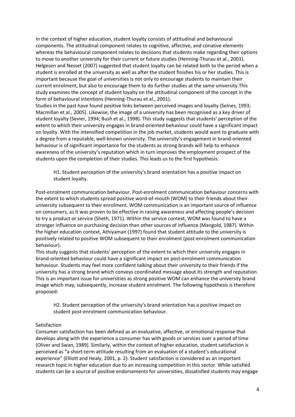In the context of higher education, student loyalty consists of attitudinal and behavioural components. The attitudinal component relates to cognitive, affective, and conative elements whereas the behavioural component relates to decisions that students make regarding their options to move to another university for their current or future studies (Henning-Thurau et al., 2001). Helgesen and Nesset (2007) suggested that student loyalty can be related both to the period when a student is enrolled at the university as well as after the student finishes his or her studies. This is important because the goal of universities is not only to encourage students to maintain their current enrolment, but also to encourage them to do further studies at the same university.This study examines the concept of student loyalty on the attitudinal component of the concept in the form of behavioural intentions (Henning-Thurau et al., 2001).

Studies in the past have found positive links between perceived images and loyalty (Selnes, 1993; Macmillan et al., 2005). Likewise, the image of a university has been recognised as a key driver of student loyalty (Sevier, 1994; Bush et al., 1998). This study suggests that students' perception of the extent to which their university engages in brand‐oriented behaviour could have a significant impact on loyalty. With the intensified competition in the job market, students would want to graduate with a degree from a reputable, well‐known university. The university's engagement in brand‐oriented behaviour is of significant importance for the students as strong brands will help to enhance awareness of the university's reputation which in turn improves the employment prospect of the students upon the completion of their studies. This leads us to the first hypothesis:

H1. Student perception of the university's brand orientation has a positive impact on student loyalty.

Post‐enrolment communication behaviour. Post‐enrolment communication behaviour concerns with the extent to which students spread positive word-of-mouth (WOM) to their friends about their university subsequent to their enrolment. WOM communication is an important source of influence on consumers, as it was proven to be effective in raising awareness and affecting people's decision to try a product or service (Sheth, 1971). Within the service context, WOM was found to have a stronger influence on purchasing decision than other sources of influence (Mangold, 1987). Within the higher education context, Athiyaman (1997) found that student attitude to the university is positively related to positive WOM subsequent to their enrolment (post-enrolment communication behaviour).

This study suggests that students' perception of the extent to which their university engages in brand‐oriented behaviour could have a significant impact on post‐enrolment communication behaviour. Students may feel more confident talking about their university to their friends if the university has a strong brand which conveys coordinated message about its strength and reputation. This is an important issue for universities as strong positive WOM can enhance the university brand image which may, subsequently, increase student enrolment. The following hypothesis is therefore proposed:

H2. Student perception of the university's brand orientation has a positive impact on student post‐enrolment communication behaviour.

## Satisfaction

Consumer satisfaction has been defined as an evaluative, affective, or emotional response that develops along with the experience a consumer has with goods or services over a period of time (Oliver and Swan, 1989). Similarly, within the context of higher education, student satisfaction is perceived as "a short‐term attitude resulting from an evaluation of a student's educational experience" (Elliott and Healy, 2001, p. 2). Student satisfaction is considered as an important research topic in higher education due to an increasing competition in this sector. While satisfied students can be a source of positive endorsements for universities, dissatisfied students may engage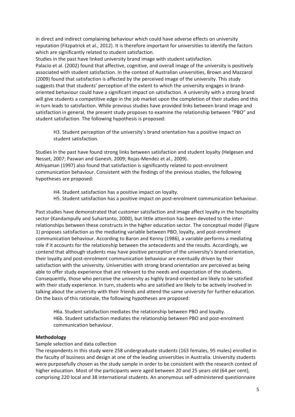in direct and indirect complaining behaviour which could have adverse effects on university reputation (Fitzpatrick et al., 2012). It is therefore important for universities to identify the factors which are significantly related to student satisfaction.

Studies in the past have linked university brand image with student satisfaction. Palacio et al. (2002) found that affective, cognitive, and overall image of the university is positively associated with student satisfaction. In the context of Australian universities, Brown and Mazzarol (2009) found that satisfaction is affected by the perceived image of the university. This study suggests that that students' perception of the extent to which the university engages in brand‐ oriented behaviour could have a significant impact on satisfaction. A university with a strong brand will give students a competitive edge in the job market upon the completion of their studies and this in turn leads to satisfaction. While previous studies have provided links between brand image and satisfaction in general, the present study proposes to examine the relationship between "PBO" and student satisfaction. The following hypothesis is proposed:

H3. Student perception of the university's brand orientation has a positive impact on student satisfaction.

Studies in the past have found strong links between satisfaction and student loyalty (Helgesen and Nesset, 2007; Paswan and Ganesh, 2009; Rojas‐Mendez et al., 2009). Athiyaman (1997) also found that satisfaction is significantly related to post-enrolment communication behaviour. Consistent with the findings of the previous studies, the following hypotheses are proposed:

H4. Student satisfaction has a positive impact on loyalty.

H5. Student satisfaction has a positive impact on post-enrolment communication behaviour.

Past studies have demonstrated that customer satisfaction and image affect loyalty in the hospitality sector (Kandampully and Suhartanto, 2000), but little attention has been devoted to the inter‐ relationships between these constructs in the higher education sector. The conceptual model (Figure 1) proposes satisfaction as the mediating variable between PBO, loyalty, and post‐enrolment communication behaviour. According to Baron and Kenny (1986), a variable performs a mediating role if it accounts for the relationship between the antecedents and the results. Accordingly, we contend that although students may have positive perception of the university's brand orientation, their loyalty and post‐enrolment communication behaviour are eventually driven by their satisfaction with the university. Universities with strong brand orientation are perceived as being able to offer study experience that are relevant to the needs and expectation of the students. Consequently, those who perceive the university as highly brand‐oriented are likely to be satisfied with their study experience. In turn, students who are satisfied are likely to be actively involved in talking about the university with their friends and attend the same university for further education. On the basis of this rationale, the following hypotheses are proposed:

H6a. Student satisfaction mediates the relationship between PBO and loyalty. H6b. Student satisfaction mediates the relationship between PBO and post-enrolment communication behaviour.

## **Methodology**

Sample selection and data collection

The respondents in this study were 258 undergraduate students (163 females, 95 males) enrolled in the faculty of business and design at one of the leading universities in Australia. University students were purposefully chosen as the study sample in order to be consistent with the research context of higher education. Most of the participants were aged between 20 and 25 years old (64 per cent), comprising 220 local and 38 international students. An anonymous self‐administered questionnaire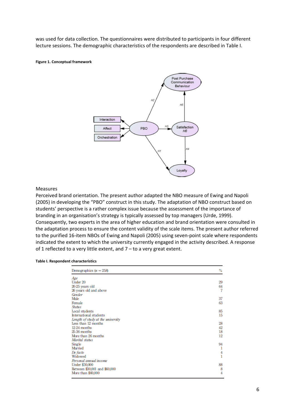was used for data collection. The questionnaires were distributed to participants in four different lecture sessions. The demographic characteristics of the respondents are described in Table I.

#### **Figure 1. Conceptual framework**



#### Measures

Perceived brand orientation. The present author adapted the NBO measure of Ewing and Napoli (2005) in developing the "PBO" construct in this study. The adaptation of NBO construct based on students' perspective is a rather complex issue because the assessment of the importance of branding in an organisation's strategy is typically assessed by top managers (Urde, 1999). Consequently, two experts in the area of higher education and brand orientation were consulted in the adaptation process to ensure the content validity of the scale items. The present author referred to the purified 16-item NBOs of Ewing and Napoli (2005) using seven-point scale where respondents indicated the extent to which the university currently engaged in the activity described. A response of 1 reflected to a very little extent, and 7 – to a very great extent.

#### **Table I. Respondent characteristics**

| Demographics $(n = 258)$          | %  |
|-----------------------------------|----|
| Age                               |    |
| Under 20                          | 29 |
| 20-25 years old                   | 64 |
| 26 years old and above            | 7  |
| Gender                            |    |
| Male                              | 37 |
| Female                            | 63 |
| <b>Status</b>                     |    |
| Local students                    | 85 |
| International students            | 15 |
| Length of study at the university |    |
| Less than 12 months               | 28 |
| 12-24 months                      | 42 |
| 25-36 months                      | 18 |
| More than 26 months               | 12 |
| Marital status                    |    |
| Single                            | 94 |
| Married                           | 1  |
| De facto                          | 4  |
| Widowed                           | 1  |
| Personal annual income            |    |
| Under \$30,000                    | 88 |
| Between \$30,001 and \$60,000     | 8  |
| More than \$60,000                | 4  |
|                                   |    |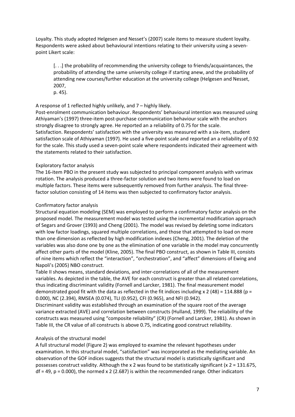Loyalty. This study adopted Helgesen and Nesset's (2007) scale items to measure student loyalty. Respondents were asked about behavioural intentions relating to their university using a sevenpoint Likert scale:

[. . .] the probability of recommending the university college to friends/acquaintances, the probability of attending the same university college if starting anew, and the probability of attending new courses/further education at the university college (Helgesen and Nesset, 2007,

p. 45).

# A response of 1 reflected highly unlikely, and 7 – highly likely.

Post-enrolment communication behaviour. Respondents' behavioural intention was measured using Athiyaman's (1997) three‐item post‐purchase communication behaviour scale with the anchors strongly disagree to strongly agree. He reported an a reliability of 0.75 for the scale. Satisfaction. Respondents' satisfaction with the university was measured with a six‐item, student satisfaction scale of Athiyaman (1997). He used a five‐point scale and reported an a reliability of 0.92 for the scale. This study used a seven-point scale where respondents indicated their agreement with the statements related to their satisfaction.

# Exploratory factor analysis

The 16‐item PBO in the present study was subjected to principal component analysis with varimax rotation. The analysis produced a three‐factor solution and two items were found to load on multiple factors. These items were subsequently removed from further analysis. The final threefactor solution consisting of 14 items was then subjected to confirmatory factor analysis.

# Confirmatory factor analysis

Structural equation modeling (SEM) was employed to perform a confirmatory factor analysis on the proposed model. The measurement model was tested using the incremental modification approach of Segars and Grover (1993) and Cheng (2001). The model was revised by deleting some indicators with low factor loadings, squared multiple correlations, and those that attempted to load on more than one dimension as reflected by high modification indexes (Cheng, 2001). The deletion of the variables was also done one by one as the elimination of one variable in the model may concurrently affect other parts of the model (Kline, 2005). The final PBO construct, as shown in Table III, consists of nine items which reflect the "interaction", "orchestration", and "affect" dimensions of Ewing and Napoli's (2005) NBO construct.

Table II shows means, standard deviations, and inter‐correlations of all of the measurement variables. As depicted in the table, the AVE for each construct is greater than all related correlations, thus indicating discriminant validity (Fornell and Larcker, 1981). The final measurement model demonstrated good fit with the data as reflected in the fit indices including x 2 (48) = 114.888 ( $p =$ 0.000), NC (2.394), RMSEA (0.074), TLI (0.952), CFI (0.965), and NFI (0.942).

Discriminant validity was established through an examination of the square root of the average variance extracted (AVE) and correlation between constructs (Hulland, 1999). The reliability of the constructs was measured using "composite reliability" (CR) (Fornell and Larcker, 1981). As shown in Table III, the CR value of all constructs is above 0.75, indicating good construct reliability.

## Analysis of the structural model

A full structural model (Figure 2) was employed to examine the relevant hypotheses under examination. In this structural model, "satisfaction" was incorporated as the mediating variable. An observation of the GOF indices suggests that the structural model is statistically significant and possesses construct validity. Although the x 2 was found to be statistically significant (x 2 = 131.675,  $df = 49$ ,  $p = 0.000$ , the normed x 2 (2.687) is within the recommended range. Other indicators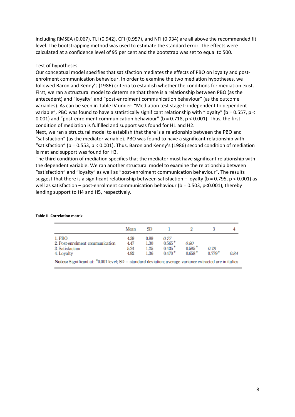including RMSEA (0.067), TLI (0.942), CFI (0.957), and NFI (0.934) are all above the recommended fit level. The bootstrapping method was used to estimate the standard error. The effects were calculated at a confidence level of 95 per cent and the bootstrap was set to equal to 500.

#### Test of hypotheses

Our conceptual model specifies that satisfaction mediates the effects of PBO on loyalty and post‐ enrolment communication behaviour. In order to examine the two mediation hypotheses, we followed Baron and Kenny's (1986) criteria to establish whether the conditions for mediation exist. First, we ran a structural model to determine that there is a relationship between PBO (as the antecedent) and "loyalty" and "post‐enrolment communication behaviour" (as the outcome variables). As can be seen in Table IV under: "Mediation test stage I: independent to dependent variable", PBO was found to have a statistically significant relationship with "loyalty" (b = 0.557, p < 0.001) and "post-enrolment communication behaviour" ( $b = 0.718$ ,  $p < 0.001$ ). Thus, the first condition of mediation is fulfilled and support was found for H1 and H2.

Next, we ran a structural model to establish that there is a relationship between the PBO and "satisfaction" (as the mediator variable). PBO was found to have a significant relationship with "satisfaction" (b = 0.553, p < 0.001). Thus, Baron and Kenny's (1986) second condition of mediation is met and support was found for H3.

The third condition of mediation specifies that the mediator must have significant relationship with the dependent variable. We ran another structural model to examine the relationship between "satisfaction" and "loyalty" as well as "post‐enrolment communication behaviour". The results suggest that there is a significant relationship between satisfaction  $-$  loyalty (b = 0.795, p < 0.001) as well as satisfaction – post-enrolment communication behaviour ( $b = 0.503$ ,  $p < 0.001$ ), thereby lending support to H4 and H5, respectively.

|                                 | Mean |      |                      |                      |          |      |
|---------------------------------|------|------|----------------------|----------------------|----------|------|
| 1. PBO                          | 4.39 | 0.89 | 0.77                 |                      |          |      |
| 2. Post-enrolment communication | 4.47 | 1.30 | $0.565*$             | 0.80                 |          |      |
| 3. Satisfaction                 | 5.24 | 1.25 | $0.435$ <sup>*</sup> | $0.585$ <sup>*</sup> | 0.78     |      |
| 4. Loyalty                      | 4.92 | 1.36 | $0.470*$             | $0.658*$             | $0.779*$ | 0.84 |

#### **Table II. Correlation matrix**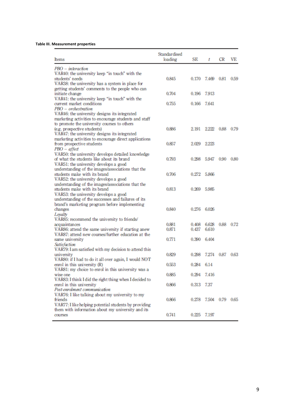|  | Table III. Measurement properties |  |
|--|-----------------------------------|--|
|--|-----------------------------------|--|

| Items                                                                                                      | Standardised<br>loading | SЕ        | t                     | CR   | VE        |
|------------------------------------------------------------------------------------------------------------|-------------------------|-----------|-----------------------|------|-----------|
| PBO – interaction                                                                                          |                         |           |                       |      |           |
| VAR40: the university keep "in touch" with the                                                             |                         |           |                       |      |           |
| students' needs                                                                                            | 0.845                   |           | 0.170 7.469 0.81 0.59 |      |           |
| VAR38: the university has a system in place for<br>getting students' comments to the people who can        |                         |           |                       |      |           |
| initiate change                                                                                            | 0.704                   | 0.196     | 7.913                 |      |           |
| VAR41: the university keep "in touch" with the                                                             |                         |           |                       |      |           |
| current market conditions                                                                                  | 0.755                   | 0.166     | 7.641                 |      |           |
| PBO – orchestration                                                                                        |                         |           |                       |      |           |
| VAR46: the university designs its integrated                                                               |                         |           |                       |      |           |
| marketing activities to encourage students and staff                                                       |                         |           |                       |      |           |
| to promote the university courses to others<br>(e.g. prospective students)                                 | 0.886                   | 2.191     | 2.222 0.88            |      | 0.79      |
| VAR47: the university designs its integrated                                                               |                         |           |                       |      |           |
| marketing activities to encourage direct applications                                                      |                         |           |                       |      |           |
| from prospective students                                                                                  | 0.857                   | 2.029     | 2.223                 |      |           |
| $PBO - affect$                                                                                             |                         |           |                       |      |           |
| VAR50: the university develops detailed knowledge                                                          |                         |           |                       |      |           |
| of what the students like about its brand                                                                  | 0.793                   | 0.298     | 5.947 0.90            |      | 0.80      |
| VAR51: the university develops a good                                                                      |                         |           |                       |      |           |
| understanding of the images/associations that the<br>students make with its brand                          | 0.706                   | $0.272\,$ | 5.866                 |      |           |
| VAR52: the university develops a good                                                                      |                         |           |                       |      |           |
| understanding of the images/associations that the                                                          |                         |           |                       |      |           |
| students make with its brand                                                                               | 0.813                   | 0.269     | 5.985                 |      |           |
| VAR53: the university develops a good                                                                      |                         |           |                       |      |           |
| understanding of the successes and failures of its                                                         |                         |           |                       |      |           |
| brand's marketing program before implementing                                                              |                         |           |                       |      |           |
| changes<br>Loyalty                                                                                         | 0.840                   | 0.276     | 6.026                 |      |           |
| VAR85: recommend the university to friends/                                                                |                         |           |                       |      |           |
| acquaintances                                                                                              | 0.881                   | 0.408     | 6.628                 |      | 0.88 0.72 |
| VAR86: attend the same university if starting anew                                                         | 0.871                   | 0.437     | 6.610                 |      |           |
| VAR87: attend new courses/further education at the                                                         |                         |           |                       |      |           |
| same university                                                                                            | 0.771                   | 0.390     | 6.404                 |      |           |
| <b>Satisfaction</b>                                                                                        |                         |           |                       |      |           |
| VAR79: I am satisfied with my decision to attend this                                                      |                         |           |                       |      |           |
| university<br>VAR80: if I had to do it all over again, I would NOT                                         | 0.829                   | 0.298     | 7.274                 | 0.87 | 0.63      |
| enrol in this university $(R)$                                                                             | 0.553                   | 0.284     | - 6.14                |      |           |
| VAR81: my choice to enrol in this university was a                                                         |                         |           |                       |      |           |
| wise one                                                                                                   | 0.885                   | 0.294     | 7.416                 |      |           |
| VAR83: I think I did the right thing when I decided to                                                     |                         |           |                       |      |           |
| enrol in this university                                                                                   | 0.866                   | 0.313     | 7.37                  |      |           |
| Post-enrolment communication                                                                               |                         |           |                       |      |           |
| VAR76: I like talking about my university to my                                                            |                         |           |                       |      |           |
| friends                                                                                                    | 0.866                   |           | 0.278 7.504 0.79      |      | 0.65      |
| VAR77: I like helping potential students by providing<br>them with information about my university and its |                         |           |                       |      |           |
| courses                                                                                                    | 0.741                   | 0.225     | 7.197                 |      |           |
|                                                                                                            |                         |           |                       |      |           |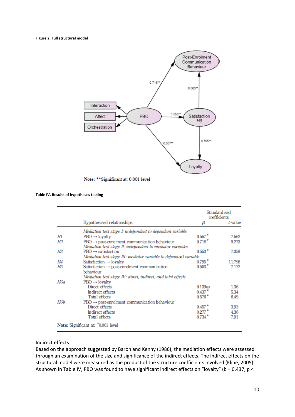#### **Figure 2. Full structural model**



Note: \*\* Significant at: 0.001 level

#### **Table IV. Results of hypotheses testing**

|     |                                                                                                                        | Standardised<br>coefficients |         |  |
|-----|------------------------------------------------------------------------------------------------------------------------|------------------------------|---------|--|
|     | Hypothesised relationships                                                                                             | β                            | t-value |  |
|     | Mediation test stage I: independent to dependent variable                                                              |                              |         |  |
| H1  | $PBO \rightarrow$ loyalty                                                                                              | $0.557*$                     | 7.562   |  |
| H2  | $PBO \rightarrow post-enrolment communication behaviour$<br>Mediation test stage II: independent to mediator variables | $0.718*$                     | 9.273   |  |
| ΗЗ  | $PBO \rightarrow$ satisfaction                                                                                         | $0.553*$                     | 7.359   |  |
|     | Mediation test stage III: mediator variable to dependent variable                                                      |                              |         |  |
| Н4  | Satisfaction $\rightarrow$ lovalty                                                                                     | $0.795*$                     | 11.798  |  |
| H5  | $Satis factoron \rightarrow post-enrolment communication$                                                              | $0.503*$                     | 7.172   |  |
|     | behaviour                                                                                                              |                              |         |  |
|     | Mediation test stage IV: direct, indirect, and total effects                                                           |                              |         |  |
| H6a | $PBO \rightarrow$ loyalty                                                                                              |                              |         |  |
|     | Direct effects                                                                                                         | 0.139ns                      | 1.36    |  |
|     | Indirect effects                                                                                                       | $0.437*$                     | 5.34    |  |
|     | Total effects                                                                                                          | $0.576*$                     | 6.49    |  |
| H6b | $PBO \rightarrow post-enrolment communication behaviour$                                                               |                              |         |  |
|     | Direct effects                                                                                                         | $0.457*$                     | 3.93    |  |
|     | Indirect effects                                                                                                       | $0.277$ <sup>*</sup>         | 4.36    |  |
|     | Total effects                                                                                                          | $0.734*$                     | 7.91    |  |
|     | Note: Significant at: *0.001 level                                                                                     |                              |         |  |

## Indirect effects

Based on the approach suggested by Baron and Kenny (1986), the mediation effects were assessed through an examination of the size and significance of the indirect effects. The indirect effects on the structural model were measured as the product of the structure coefficients involved (Kline, 2005). As shown in Table IV, PBO was found to have significant indirect effects on "loyalty" (b = 0.437, p <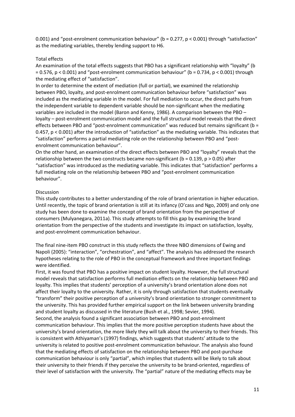0.001) and "post-enrolment communication behaviour" ( $b = 0.277$ ,  $p < 0.001$ ) through "satisfaction" as the mediating variables, thereby lending support to H6.

## Total effects

An examination of the total effects suggests that PBO has a significant relationship with "loyalty" (b  $= 0.576$ ,  $p < 0.001$ ) and "post-enrolment communication behaviour" (b = 0.734, p < 0.001) through the mediating effect of "satisfaction".

In order to determine the extent of mediation (full or partial), we examined the relationship between PBO, loyalty, and post‐enrolment communication behaviour before "satisfaction" was included as the mediating variable in the model. For full mediation to occur, the direct paths from the independent variable to dependent variable should be non-significant when the mediating variables are included in the model (Baron and Kenny, 1986). A comparison between the PBO – loyalty – post-enrolment communication model and the full structural model reveals that the direct effects between PBO and "post-enrolment communication" was reduced but remains significant (b = 0.457, p < 0.001) after the introduction of "satisfaction" as the mediating variable. This indicates that "satisfaction" performs a partial mediating role on the relationship between PBO and "post‐ enrolment communication behaviour".

On the other hand, an examination of the direct effects between PBO and "loyalty" reveals that the relationship between the two constructs became non-significant ( $b = 0.139$ ,  $p > 0.05$ ) after "satisfaction" was introduced as the mediating variable. This indicates that "satisfaction" performs a full mediating role on the relationship between PBO and "post-enrolment communication behaviour".

# Discussion

This study contributes to a better understanding of the role of brand orientation in higher education. Until recently, the topic of brand orientation is still at its infancy (O'cass and Ngo, 2009) and only one study has been done to examine the concept of brand orientation from the perspective of consumers (Mulyanegara, 2011a). This study attempts to fill this gap by examining the brand orientation from the perspective of the students and investigate its impact on satisfaction, loyalty, and post-enrolment communication behaviour.

The final nine-item PBO construct in this study reflects the three NBO dimensions of Ewing and Napoli (2005): "interaction", "orchestration", and "affect". The analysis has addressed the research hypotheses relating to the role of PBO in the conceptual framework and three important findings were identified.

First, it was found that PBO has a positive impact on student loyalty. However, the full structural model reveals that satisfaction performs full mediation effects on the relationship between PBO and loyalty. This implies that students' perception of a university's brand orientation alone does not affect their loyalty to the university. Rather, it is only through satisfaction that students eventually "transform" their positive perception of a university's brand orientation to stronger commitment to the university. This has provided further empirical support on the link between university branding and student loyalty as discussed in the literature (Bush et al., 1998; Sevier, 1994). Second, the analysis found a significant association between PBO and post-enrolment communication behaviour. This implies that the more positive perception students have about the university's brand orientation, the more likely they will talk about the university to their friends. This is consistent with Athiyaman's (1997) findings, which suggests that students' attitude to the university is related to positive post‐enrolment communication behaviour. The analysis also found that the mediating effects of satisfaction on the relationship between PBO and post-purchase communication behaviour is only "partial", which implies that students will be likely to talk about their university to their friends if they perceive the university to be brand‐oriented, regardless of their level of satisfaction with the university. The "partial" nature of the mediating effects may be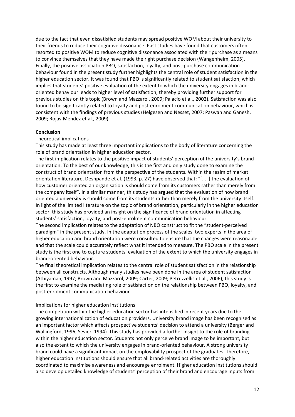due to the fact that even dissatisfied students may spread positive WOM about their university to their friends to reduce their cognitive dissonance. Past studies have found that customers often resorted to positive WOM to reduce cognitive dissonance associated with their purchase as a means to convince themselves that they have made the right purchase decision (Wangenheim, 2005). Finally, the positive association PBO, satisfaction, loyalty, and post-purchase communication behaviour found in the present study further highlights the central role of student satisfaction in the higher education sector. It was found that PBO is significantly related to student satisfaction, which implies that students' positive evaluation of the extent to which the university engages in brand‐ oriented behaviour leads to higher level of satisfaction, thereby providing further support for previous studies on this topic (Brown and Mazzarol, 2009; Palacio et al., 2002). Satisfaction was also found to be significantly related to loyalty and post-enrolment communication behaviour, which is consistent with the findings of previous studies (Helgesen and Nesset, 2007; Paswan and Ganesh, 2009; Rojas‐Mendez et al., 2009).

## **Conclusion**

#### Theoretical implications

This study has made at least three important implications to the body of literature concerning the role of brand orientation in higher education sector.

The first implication relates to the positive impact of students' perception of the university's brand orientation. To the best of our knowledge, this is the first and only study done to examine the construct of brand orientation from the perspective of the students. Within the realm of market orientation literature, Deshpande et al. (1993, p. 27) have observed that: "[. . .] the evaluation of how customer oriented an organisation is should come from its customers rather than merely from the company itself". In a similar manner, this study has argued that the evaluation of how brand oriented a university is should come from its students rather than merely from the university itself. In light of the limited literature on the topic of brand orientation, particularly in the higher education sector, this study has provided an insight on the significance of brand orientation in affecting students' satisfaction, loyalty, and post‐enrolment communication behaviour.

The second implication relates to the adaptation of NBO construct to fit the "student‐perceived paradigm" in the present study. In the adaptation process of the scales, two experts in the area of higher education and brand orientation were consulted to ensure that the changes were reasonable and that the scale could accurately reflect what it intended to measure. The PBO scale in the present study is the first one to capture students' evaluation of the extent to which the university engages in brand‐oriented behaviour.

The final theoretical implication relates to the central role of student satisfaction in the relationship between all constructs. Although many studies have been done in the area of student satisfaction (Athiyaman, 1997; Brown and Mazzarol, 2009; Carter, 2009; Petruzzellis et al., 2006), this study is the first to examine the mediating role of satisfaction on the relationship between PBO, loyalty, and post‐enrolment communication behaviour.

## Implications for higher education institutions

The competition within the higher education sector has intensified in recent years due to the growing internationalization of education providers. University brand image has been recognised as an important factor which affects prospective students' decision to attend a university (Berger and Wallingford, 1996; Sevier, 1994). This study has provided a further insight to the role of branding within the higher education sector. Students not only perceive brand image to be important, but also the extent to which the university engages in brand‐oriented behaviour. A strong university brand could have a significant impact on the employability prospect of the graduates. Therefore, higher education institutions should ensure that all brand-related activities are thoroughly coordinated to maximise awareness and encourage enrolment. Higher education institutions should also develop detailed knowledge of students' perception of their brand and encourage inputs from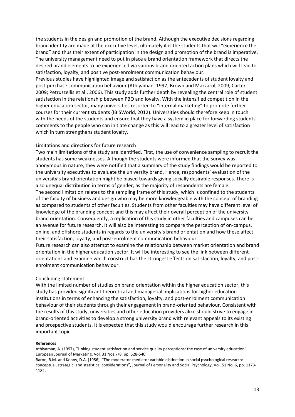the students in the design and promotion of the brand. Although the executive decisions regarding brand identity are made at the executive level, ultimately it is the students that will "experience the brand" and thus their extent of participation in the design and promotion of the brand is imperative. The university management need to put in place a brand orientation framework that directs the desired brand elements to be experienced via various brand oriented action plans which will lead to satisfaction, loyalty, and positive post-enrolment communication behaviour.

Previous studies have highlighted image and satisfaction as the antecedents of student loyalty and post-purchase communication behaviour (Athiyaman, 1997; Brown and Mazzarol, 2009; Carter, 2009; Petruzzellis et al., 2006). This study adds further depth by revealing the central role of student satisfaction in the relationship between PBO and loyalty. With the intensified competition in the higher education sector, many universities resorted to "internal marketing" to promote further courses for their current students (IBISWorld, 2012). Universities should therefore keep in touch with the needs of the students and ensure that they have a system in place for forwarding students' comments to the people who can initiate change as this will lead to a greater level of satisfaction which in turn strengthens student loyalty.

## Limitations and directions for future research

Two main limitations of the study are identified. First, the use of convenience sampling to recruit the students has some weaknesses. Although the students were informed that the survey was anonymous in nature, they were notified that a summary of the study findings would be reported to the university executives to evaluate the university brand. Hence, respondents' evaluation of the university's brand orientation might be biased towards giving socially desirable responses. There is also unequal distribution in terms of gender, as the majority of respondents are female. The second limitation relates to the sampling frame of this study, which is confined to the students of the faculty of business and design who may be more knowledgeable with the concept of branding as compared to students of other faculties. Students from other faculties may have different level of knowledge of the branding concept and this may affect their overall perception of the university brand orientation. Consequently, a replication of this study in other faculties and campuses can be an avenue for future research. It will also be interesting to compare the perception of on‐campus, online, and offshore students in regards to the university's brand orientation and how these affect their satisfaction, loyalty, and post‐enrolment communication behaviour.

Future research can also attempt to examine the relationship between market orientation and brand orientation in the higher education sector. It will be interesting to see the link between different orientations and examine which construct has the strongest effects on satisfaction, loyalty, and post‐ enrolment communication behaviour.

#### Concluding statement

With the limited number of studies on brand orientation within the higher education sector, this study has provided significant theoretical and managerial implications for higher education institutions in terms of enhancing the satisfaction, loyalty, and post-enrolment communication behaviour of their students through their engagement in brand-oriented behaviour. Consistent with the results of this study, universities and other education providers alike should strive to engage in brand‐oriented activities to develop a strong university brand with relevant appeals to its existing and prospective students. It is expected that this study would encourage further research in this important topic.

#### **References**

Athiyaman, A. (1997), "Linking student satisfaction and service quality perceptions: the case of university education", European Journal of Marketing, Vol. 31 Nos 7/8, pp. 528‐540.

Baron, R.M. and Kenny, D.A. (1986), "The moderator-mediator variable distinction in social psychological research: conceptual, strategic, and statistical considerations", Journal of Personality and Social Psychology, Vol. 51 No. 6, pp. 1173‐ 1182.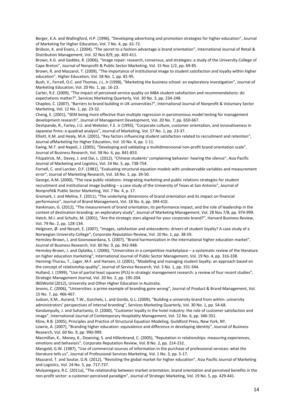Berger, K.A. and Wallingford, H.P. (1996), "Developing advertising and promotion strategies for higher education", Journal of Marketing for Higher Education, Vol. 7 No. 4, pp. 61‐72.

Bridson, K. and Evans, J. (2004), "The secret to a fashion advantage is brand orientation", International Journal of Retail & Distribution Management, Vol. 32 Nos 8/9, pp. 403‐411.

Brown, K.G. and Geddes, R. (2006), "Image repair: research, consensus, and strategies: a study of the University College of Cape Breton", Journal of Nonprofit & Public Sector Marketing, Vol. 15 Nos 1/2, pp. 69‐85.

Brown, R. and Mazzarol, T. (2009), "The importance of institutional image to student satisfaction and loyalty within higher education", Higher Education, Vol. 58 No. 1, pp. 81‐95.

Bush, V., Ferrell, O.C. and Thomas, J.L. Jr (1998), "Marketing the business school: an exploratory investigation", Journal of Marketing Education, Vol. 20 No. 1, pp. 16‐23.

Carter, R.E. (2009), "The impact of perceived service quality on MBA student satisfaction and recommendations: do expectations matter?", Services Marketing Quarterly, Vol. 30 No. 3, pp. 234‐248.

Chapleo, C. (2007), "Barriers to brand building in UK universities?", International Journal of Nonprofit & Voluntary Sector Marketing, Vol. 12 No. 1, pp. 23‐32.

Cheng, E. (2001), "SEM being more effective than multiple regression in parsimonious model testing for management development research", Journal of Management Development, Vol. 20 No. 7, pp. 650‐667.

Deshpande, R., Farley, J.U. and Webster, F.E. Jr (1993), "Corporate culture, customer orientation, and innovativeness in Japanese firms: a quadrad analysis", Journal of Marketing, Vol. 57 No. 1, pp. 23‐37.

Elliott, K.M. and Healy, M.A. (2001), "Key factors influencing student satisfaction related to recruitment and retention", Journal ofMarketing for Higher Education, Vol. 10 No. 4, pp. 1‐11.

Ewing, M.T. and Napoli, J. (2005), "Developing and validating a multidimensional non‐profit brand orientation scale", Journal of Business Research, Vol. 58 No. 6, pp. 841‐853.

Fitzpatrick, M., Davey, J. and Dai, L. (2012), "Chinese students' complaining behavior: hearing the silence", Asia Pacific Journal of Marketing and Logistics, Vol. 24 No. 5, pp. 738‐754.

Fornell, C. and Larcker, D.F. (1981), "Evaluating structural equation models with unobservable variables and measurement error", Journal of Marketing Research, Vol. 18 No. 1, pp. 39‐50.

George, A.M. (2000), "The new public relations: integrating marketing and public relations strategies for student recruitment and institutional image building – a case study of the University of Texas at San Antonio", Journal of Nonprofit& Public Sector Marketing, Vol. 7 No. 4, p. 17.

Gromark, J. and Melina, F. (2011), "The underlying dimensions of brand orientation and its impact on financial performance", Journal of Brand Management, Vol. 18 No. 6, pp. 394‐410.

Hankinson, G. (2012), "The measurement of brand orientation, its performance impact, and the role of leadership in the context of destination branding: an exploratory study", Journal of Marketing Management, Vol. 28 Nos 7/8, pp. 974‐999. Hatch, M.J. and Schultz, M. (2001), "Are the strategic stars aligned for your corporate brand?", Harvard Business Review, Vol. 79 No. 2, pp. 128‐134.

Helgesen, Ø. and Nesset, E. (2007), "Images, satisfaction and antecedents: drivers of student loyalty? A case study of a Norwegian University College", Corporate Reputation Review, Vol. 10 No. 1, pp. 38‐59.

Hemsley-Brown, J. and Goonawardana, S. (2007), "Brand harmonization in the international higher education market", Journal of Business Research, Vol. 60 No. 9, pp. 942‐948.

Hemsley‐Brown, J. and Oplatka, I. (2006), "Universities in a competitive marketplace – a systematic review of the literature on higher education marketing", International Journal of Public Sector Management, Vol. 19 No. 4, pp. 316‐338.

Henning‐Thurau, T., Lager, M.F. and Hansen, U. (2001), "Modelling and managing student loyalty: an approach based on the concept of relationship quality", Journal of Service Research, Vol. 3 No. 1, pp. 331‐344.

Hulland, J. (1999), "Use of partial least squares (PLS) in strategic management research: a review of four recent studies", Strategic Management Journal, Vol. 20 No. 2, pp. 195‐204.

IBISWorld (2012), University and Other Higher Education in Australia.

Jevons, C. (2006), "Universities: a prime example of branding gone wrong", Journal of Product & Brand Management, Vol. 15 No. 7, pp. 466‐467.

Judson, K.M., Aurand, T.W., Gorchels, L. and Gordo, G.L. (2009), "Building a university brand from within: university administrators' perspectives of internal branding", Services Marketing Quarterly, Vol. 30 No. 1, pp. 54‐68.

Kandampully, J. and Suhartanto, D. (2000), "Customer loyalty in the hotel industry: the role of customer satisfaction and image", International Journal of Contemporary Hospitality Management, Vol. 12 No. 6, pp. 346‐351.

Kline, R.B. (2005), Principles and Practice of Structural Equation Modeling, Guildford Press, New York, NY.

Lowrie, A. (2007), "Branding higher education: equivalence and difference in developing identity", Journal of Business Research, Vol. 60 No. 9, pp. 990‐999.

Macmillan, K., Money, K., Downing, S. and Hillenbrand, C. (2005), "Reputation in relationships: measuring experiences, emotions and behaviors", Corporate Reputation Review, Vol. 8 No. 2, pp. 214‐232.

Mangold, G.W. (1987), "Use of commercial sources of information in the purchase of professional services: what the literature tells us", Journal of Professional Services Marketing, Vol. 1 No. 3, pp. 5‐17.

Mazzarol, T. and Soutar, G.N. (2012), "Revisiting the global market for higher education", Asia Pacific Journal of Marketing and Logistics, Vol. 24 No. 5, pp. 717‐737.

Mulyanegara, R.C. (2011a), "The relationship between market orientation, brand orientation and perceived benefits in the non‐profit sector: a customer‐perceived paradigm", Journal of Strategic Marketing, Vol. 19 No. 5, pp. 429‐441.